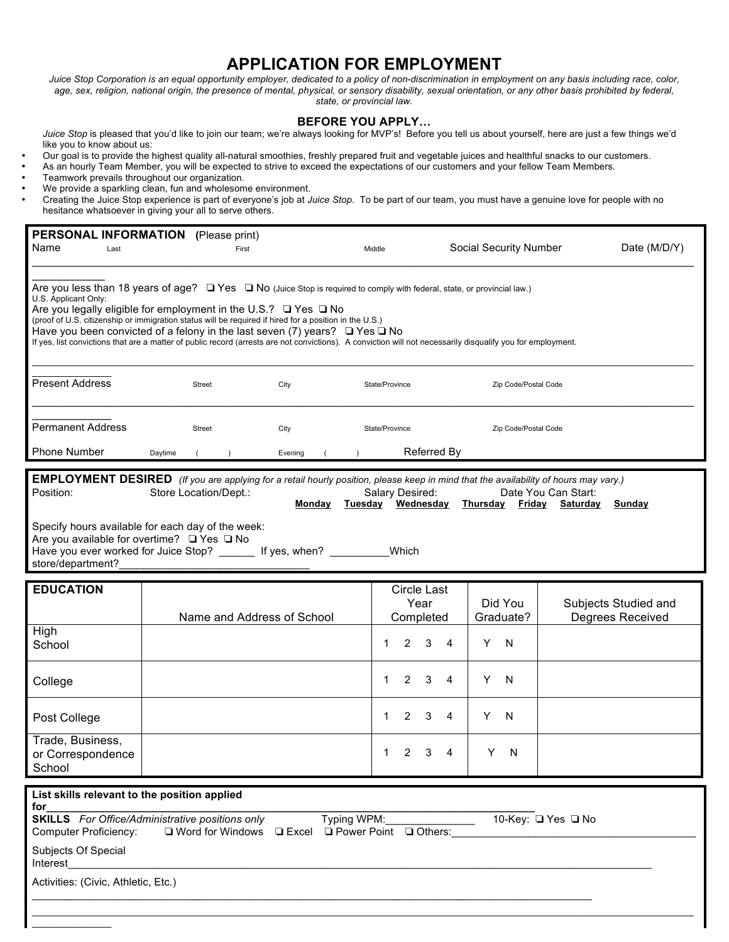## **APPLICATION FOR EMPLOYMENT**

Juice Stop Corporation is an equal opportunity employer, dedicated to a policy of non-discrimination in employment on any basis including race, color,  *age, sex, religion, national origin, the presence of mental, physical, or sensory disability, sexual orientation, or any other basis prohibited by federal, state, or provincial law.* 

## **BEFORE YOU APPLY…**

 *Juice Stop* is pleased that you'd like to join our team; we're always looking for MVP's! Before you tell us about yourself, here are just a few things we'd like you to know about us:

- Our goal is to provide the highest quality all-natural smoothies, freshly prepared fruit and vegetable juices and healthful snacks to our customers.
- As an hourly Team Member, you will be expected to strive to exceed the expectations of our customers and your fellow Team Members.
- Teamwork prevails throughout our organization.
- We provide a sparkling clean, fun and wholesome environment.
- • Creating the Juice Stop experience is part of everyone's job at *Juice Stop*. To be part of our team, you must have a genuine love for people with no hesitance whatsoever in giving your all to serve others.

| Name<br>Last                                                                                                                                                                                                                                                                                                                                                                                                                                                                                                                                                                                                 | PERSONAL INFORMATION (Please print)<br>First |                 | Middle                                                | Social Security Number | Date (M/D/Y)                             |  |  |  |  |
|--------------------------------------------------------------------------------------------------------------------------------------------------------------------------------------------------------------------------------------------------------------------------------------------------------------------------------------------------------------------------------------------------------------------------------------------------------------------------------------------------------------------------------------------------------------------------------------------------------------|----------------------------------------------|-----------------|-------------------------------------------------------|------------------------|------------------------------------------|--|--|--|--|
| Are you less than 18 years of age?<br>$\Box$ Yes $\Box$ No (Juice Stop is required to comply with federal, state, or provincial law.)<br>U.S. Applicant Only:<br>Are you legally eligible for employment in the U.S.? $\Box$ Yes $\Box$ No<br>(proof of U.S. citizenship or immigration status will be required if hired for a position in the U.S.)<br>Have you been convicted of a felony in the last seven (7) years? $\Box$ Yes $\Box$ No<br>If yes, list convictions that are a matter of public record (arrests are not convictions). A conviction will not necessarily disqualify you for employment. |                                              |                 |                                                       |                        |                                          |  |  |  |  |
| <b>Present Address</b>                                                                                                                                                                                                                                                                                                                                                                                                                                                                                                                                                                                       | Street                                       | City            | State/Province                                        | Zip Code/Postal Code   |                                          |  |  |  |  |
| <b>Permanent Address</b><br>Phone Number                                                                                                                                                                                                                                                                                                                                                                                                                                                                                                                                                                     | Street<br>Daytime<br>$\rightarrow$           | City<br>Evening | State/Province<br>Zip Code/Postal Code<br>Referred By |                        |                                          |  |  |  |  |
| <b>EMPLOYMENT DESIRED</b> (If you are applying for a retail hourly position, please keep in mind that the availability of hours may vary.)<br>Position:<br>Store Location/Dept.:<br>Salary Desired:<br>Date You Can Start:<br>Tuesday Wednesday Thursday Friday Saturday Sunday<br>Monday                                                                                                                                                                                                                                                                                                                    |                                              |                 |                                                       |                        |                                          |  |  |  |  |
| Specify hours available for each day of the week:<br>Are you available for overtime? □ Yes □ No<br>Have you ever worked for Juice Stop? ______ If yes, when? _______<br>Which<br>store/department?                                                                                                                                                                                                                                                                                                                                                                                                           |                                              |                 |                                                       |                        |                                          |  |  |  |  |
| <b>EDUCATION</b>                                                                                                                                                                                                                                                                                                                                                                                                                                                                                                                                                                                             |                                              |                 |                                                       |                        |                                          |  |  |  |  |
|                                                                                                                                                                                                                                                                                                                                                                                                                                                                                                                                                                                                              | Name and Address of School                   |                 | Circle Last<br>Year<br>Completed                      | Did You<br>Graduate?   | Subjects Studied and<br>Degrees Received |  |  |  |  |
| High<br>School                                                                                                                                                                                                                                                                                                                                                                                                                                                                                                                                                                                               |                                              |                 | 2<br>3<br>1.                                          | Y<br>N<br>4            |                                          |  |  |  |  |
| College                                                                                                                                                                                                                                                                                                                                                                                                                                                                                                                                                                                                      |                                              |                 | 2<br>3<br>1.                                          | Y<br>N<br>4            |                                          |  |  |  |  |
| Post College                                                                                                                                                                                                                                                                                                                                                                                                                                                                                                                                                                                                 |                                              |                 | $\overline{2}$<br>3<br>1.                             | Y<br>N<br>4            |                                          |  |  |  |  |
| Trade, Business,<br>or Correspondence<br>School                                                                                                                                                                                                                                                                                                                                                                                                                                                                                                                                                              |                                              |                 | 2<br>3<br>1                                           | Y<br>4<br>N            |                                          |  |  |  |  |
|                                                                                                                                                                                                                                                                                                                                                                                                                                                                                                                                                                                                              |                                              |                 |                                                       |                        |                                          |  |  |  |  |
| List skills relevant to the position applied<br>for<br><b>SKILLS</b> For Office/Administrative positions only<br>Typing WPM:<br>10-Key: □ Yes □ No<br><b>Computer Proficiency:</b><br>□ Word for Windows □ Excel □ Power Point □ Others:                                                                                                                                                                                                                                                                                                                                                                     |                                              |                 |                                                       |                        |                                          |  |  |  |  |
| Subjects Of Special<br>Interest                                                                                                                                                                                                                                                                                                                                                                                                                                                                                                                                                                              |                                              |                 |                                                       |                        |                                          |  |  |  |  |
| Activities: (Civic, Athletic, Etc.)                                                                                                                                                                                                                                                                                                                                                                                                                                                                                                                                                                          |                                              |                 |                                                       |                        |                                          |  |  |  |  |
|                                                                                                                                                                                                                                                                                                                                                                                                                                                                                                                                                                                                              |                                              |                 |                                                       |                        |                                          |  |  |  |  |